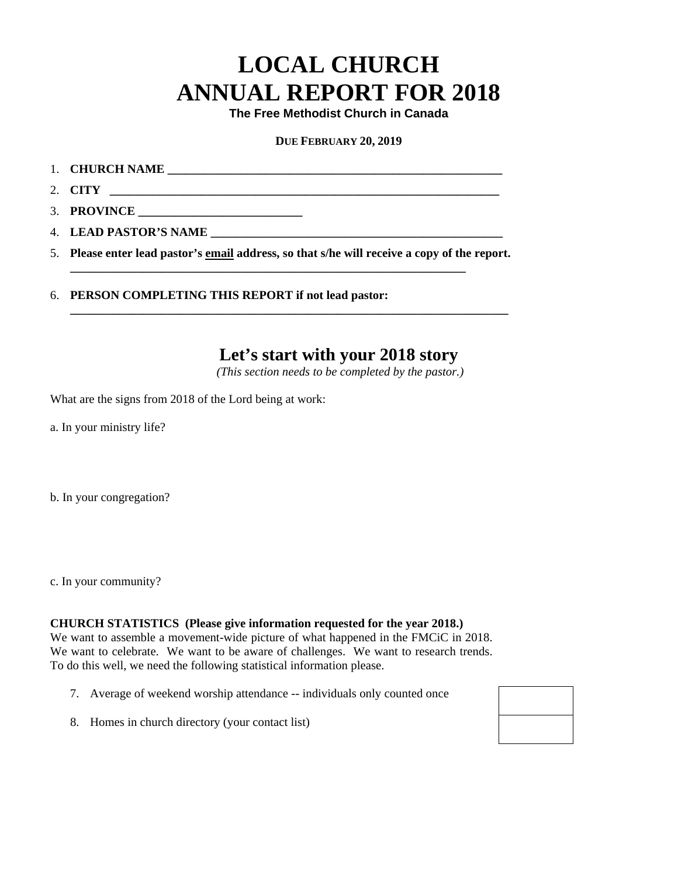# **LOCAL CHURCH ANNUAL REPORT FOR 2018**

**The Free Methodist Church in Canada** 

#### **DUE FEBRUARY 20, 2019**

- 1. **CHURCH NAME \_\_\_\_\_\_\_\_\_\_\_\_\_\_\_\_\_\_\_\_\_\_\_\_\_\_\_\_\_\_\_\_\_\_\_\_\_\_\_\_\_\_\_\_\_\_\_\_\_\_\_\_\_\_\_**
- 2. **CITY \_\_\_\_\_\_\_\_\_\_\_\_\_\_\_\_\_\_\_\_\_\_\_\_\_\_\_\_\_\_\_\_\_\_\_\_\_\_\_\_\_\_\_\_\_\_\_\_\_\_\_\_\_\_\_\_\_\_\_\_\_\_\_\_**
- 3. **PROVINCE \_\_\_\_\_\_\_\_\_\_\_\_\_\_\_\_\_\_\_\_\_\_\_\_\_\_\_**
- 4. **LEAD PASTOR'S NAME \_\_\_\_\_\_\_\_\_\_\_\_\_\_\_\_\_\_\_\_\_\_\_\_\_\_\_\_\_\_\_\_\_\_\_\_\_\_\_\_\_\_\_\_\_\_\_\_**
- 5. **Please enter lead pastor's email address, so that s/he will receive a copy of the report.**

**\_\_\_\_\_\_\_\_\_\_\_\_\_\_\_\_\_\_\_\_\_\_\_\_\_\_\_\_\_\_\_\_\_\_\_\_\_\_\_\_\_\_\_\_\_\_\_\_\_\_\_\_\_\_\_\_\_\_\_\_\_\_\_\_\_\_\_\_\_\_\_\_** 

**\_\_\_\_\_\_\_\_\_\_\_\_\_\_\_\_\_\_\_\_\_\_\_\_\_\_\_\_\_\_\_\_\_\_\_\_\_\_\_\_\_\_\_\_\_\_\_\_\_\_\_\_\_\_\_\_\_\_\_\_\_\_\_\_\_** 

6. **PERSON COMPLETING THIS REPORT if not lead pastor:** 

## **Let's start with your 2018 story**

*(This section needs to be completed by the pastor.)* 

What are the signs from 2018 of the Lord being at work:

a. In your ministry life?

b. In your congregation?

c. In your community?

#### **CHURCH STATISTICS (Please give information requested for the year 2018.)**

We want to assemble a movement-wide picture of what happened in the FMCiC in 2018. We want to celebrate. We want to be aware of challenges. We want to research trends. To do this well, we need the following statistical information please.

- 7. Average of weekend worship attendance -- individuals only counted once
- 8. Homes in church directory (your contact list)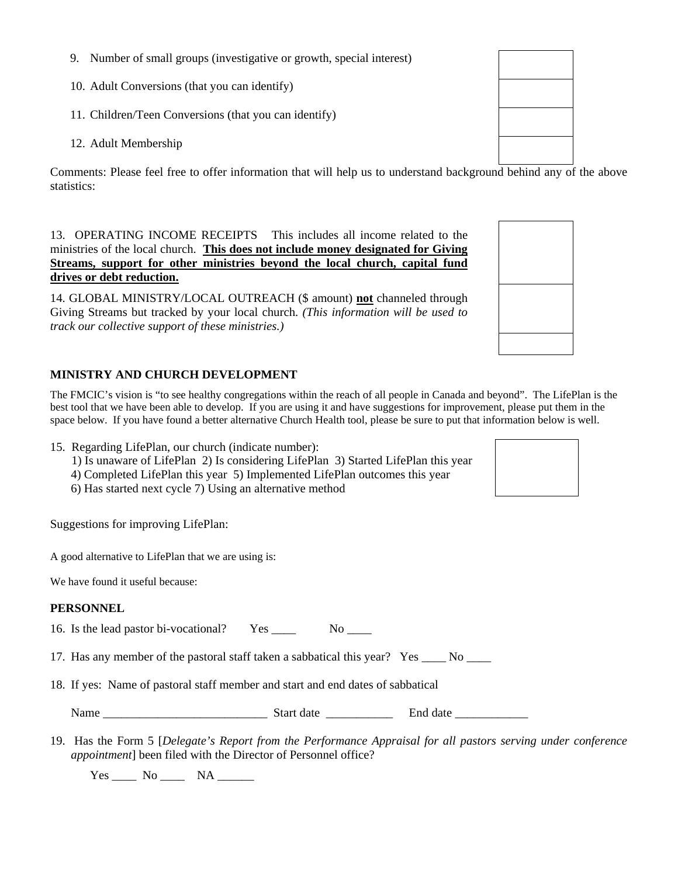- 9. Number of small groups (investigative or growth, special interest)
- 10. Adult Conversions (that you can identify)
- 11. Children/Teen Conversions (that you can identify)
- 12. Adult Membership

Comments: Please feel free to offer information that will help us to understand background behind any of the above statistics:

13. OPERATING INCOME RECEIPTS This includes all income related to the ministries of the local church. **This does not include money designated for Giving Streams, support for other ministries beyond the local church, capital fund drives or debt reduction.**

14. GLOBAL MINISTRY/LOCAL OUTREACH (\$ amount) **not** channeled through Giving Streams but tracked by your local church. *(This information will be used to track our collective support of these ministries.)*

#### **MINISTRY AND CHURCH DEVELOPMENT**

The FMCIC's vision is "to see healthy congregations within the reach of all people in Canada and beyond". The LifePlan is the best tool that we have been able to develop. If you are using it and have suggestions for improvement, please put them in the space below. If you have found a better alternative Church Health tool, please be sure to put that information below is well.

15. Regarding LifePlan, our church (indicate number):

- 1) Is unaware of LifePlan 2) Is considering LifePlan 3) Started LifePlan this year
- 4) Completed LifePlan this year 5) Implemented LifePlan outcomes this year
- 6) Has started next cycle 7) Using an alternative method

Suggestions for improving LifePlan:

A good alternative to LifePlan that we are using is:

We have found it useful because:

#### **PERSONNEL**

16. Is the lead pastor bi-vocational? Yes \_\_\_\_ No \_\_\_

17. Has any member of the pastoral staff taken a sabbatical this year? Yes \_\_\_\_ No \_\_\_\_

18. If yes: Name of pastoral staff member and start and end dates of sabbatical

| Name<br>$\sim$ $\sim$ | $10+7$<br>чa. | .<br>$\sim$ +.<br>на<br>лн<br>. .<br>_____ |
|-----------------------|---------------|--------------------------------------------|
|-----------------------|---------------|--------------------------------------------|

19. Has the Form 5 [*Delegate's Report from the Performance Appraisal for all pastors serving under conference appointment*] been filed with the Director of Personnel office?

Yes \_\_\_\_\_ No \_\_\_\_\_ NA \_\_\_\_\_\_

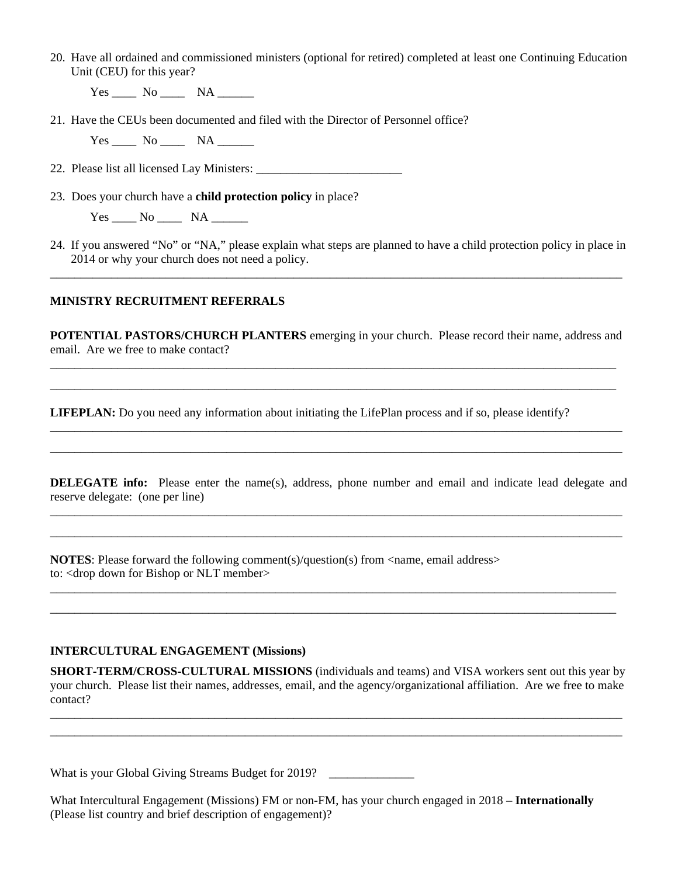20. Have all ordained and commissioned ministers (optional for retired) completed at least one Continuing Education Unit (CEU) for this year?

 $Yes$  No  $NA$  NA

21. Have the CEUs been documented and filed with the Director of Personnel office?

 $Yes$  No  $NA$  NA

22. Please list all licensed Lay Ministers:

23. Does your church have a **child protection policy** in place?

 $Yes \_\_\_$  No  $\_\_\_$  NA  $\_\_\_\_$ 

24. If you answered "No" or "NA," please explain what steps are planned to have a child protection policy in place in 2014 or why your church does not need a policy. \_\_\_\_\_\_\_\_\_\_\_\_\_\_\_\_\_\_\_\_\_\_\_\_\_\_\_\_\_\_\_\_\_\_\_\_\_\_\_\_\_\_\_\_\_\_\_\_\_\_\_\_\_\_\_\_\_\_\_\_\_\_\_\_\_\_\_\_\_\_\_\_\_\_\_\_\_\_\_\_\_\_\_\_\_\_\_\_\_\_\_\_\_\_

#### **MINISTRY RECRUITMENT REFERRALS**

**POTENTIAL PASTORS/CHURCH PLANTERS** emerging in your church. Please record their name, address and email. Are we free to make contact? \_\_\_\_\_\_\_\_\_\_\_\_\_\_\_\_\_\_\_\_\_\_\_\_\_\_\_\_\_\_\_\_\_\_\_\_\_\_\_\_\_\_\_\_\_\_\_\_\_\_\_\_\_\_\_\_\_\_\_\_\_\_\_\_\_\_\_\_\_\_\_\_\_\_\_\_\_\_\_\_\_\_\_\_\_\_\_\_\_\_\_\_\_

\_\_\_\_\_\_\_\_\_\_\_\_\_\_\_\_\_\_\_\_\_\_\_\_\_\_\_\_\_\_\_\_\_\_\_\_\_\_\_\_\_\_\_\_\_\_\_\_\_\_\_\_\_\_\_\_\_\_\_\_\_\_\_\_\_\_\_\_\_\_\_\_\_\_\_\_\_\_\_\_\_\_\_\_\_\_\_\_\_\_\_\_\_

**\_\_\_\_\_\_\_\_\_\_\_\_\_\_\_\_\_\_\_\_\_\_\_\_\_\_\_\_\_\_\_\_\_\_\_\_\_\_\_\_\_\_\_\_\_\_\_\_\_\_\_\_\_\_\_\_\_\_\_\_\_\_\_\_\_\_\_\_\_\_\_\_\_\_\_\_\_\_\_\_\_\_\_\_\_\_\_\_\_\_\_\_\_\_ \_\_\_\_\_\_\_\_\_\_\_\_\_\_\_\_\_\_\_\_\_\_\_\_\_\_\_\_\_\_\_\_\_\_\_\_\_\_\_\_\_\_\_\_\_\_\_\_\_\_\_\_\_\_\_\_\_\_\_\_\_\_\_\_\_\_\_\_\_\_\_\_\_\_\_\_\_\_\_\_\_\_\_\_\_\_\_\_\_\_\_\_\_\_** 

**LIFEPLAN:** Do you need any information about initiating the LifePlan process and if so, please identify?

**DELEGATE info:** Please enter the name(s), address, phone number and email and indicate lead delegate and reserve delegate: (one per line) \_\_\_\_\_\_\_\_\_\_\_\_\_\_\_\_\_\_\_\_\_\_\_\_\_\_\_\_\_\_\_\_\_\_\_\_\_\_\_\_\_\_\_\_\_\_\_\_\_\_\_\_\_\_\_\_\_\_\_\_\_\_\_\_\_\_\_\_\_\_\_\_\_\_\_\_\_\_\_\_\_\_\_\_\_\_\_\_\_\_\_\_\_\_

\_\_\_\_\_\_\_\_\_\_\_\_\_\_\_\_\_\_\_\_\_\_\_\_\_\_\_\_\_\_\_\_\_\_\_\_\_\_\_\_\_\_\_\_\_\_\_\_\_\_\_\_\_\_\_\_\_\_\_\_\_\_\_\_\_\_\_\_\_\_\_\_\_\_\_\_\_\_\_\_\_\_\_\_\_\_\_\_\_\_\_\_\_\_

\_\_\_\_\_\_\_\_\_\_\_\_\_\_\_\_\_\_\_\_\_\_\_\_\_\_\_\_\_\_\_\_\_\_\_\_\_\_\_\_\_\_\_\_\_\_\_\_\_\_\_\_\_\_\_\_\_\_\_\_\_\_\_\_\_\_\_\_\_\_\_\_\_\_\_\_\_\_\_\_\_\_\_\_\_\_\_\_\_\_\_\_\_ \_\_\_\_\_\_\_\_\_\_\_\_\_\_\_\_\_\_\_\_\_\_\_\_\_\_\_\_\_\_\_\_\_\_\_\_\_\_\_\_\_\_\_\_\_\_\_\_\_\_\_\_\_\_\_\_\_\_\_\_\_\_\_\_\_\_\_\_\_\_\_\_\_\_\_\_\_\_\_\_\_\_\_\_\_\_\_\_\_\_\_\_\_

**NOTES:** Please forward the following comment(s)/question(s) from  $\langle$  name, email address> to: <drop down for Bishop or NLT member>

#### **INTERCULTURAL ENGAGEMENT (Missions)**

**SHORT-TERM/CROSS-CULTURAL MISSIONS** (individuals and teams) and VISA workers sent out this year by your church. Please list their names, addresses, email, and the agency/organizational affiliation. Are we free to make contact?

\_\_\_\_\_\_\_\_\_\_\_\_\_\_\_\_\_\_\_\_\_\_\_\_\_\_\_\_\_\_\_\_\_\_\_\_\_\_\_\_\_\_\_\_\_\_\_\_\_\_\_\_\_\_\_\_\_\_\_\_\_\_\_\_\_\_\_\_\_\_\_\_\_\_\_\_\_\_\_\_\_\_\_\_\_\_\_\_\_\_\_\_\_\_ \_\_\_\_\_\_\_\_\_\_\_\_\_\_\_\_\_\_\_\_\_\_\_\_\_\_\_\_\_\_\_\_\_\_\_\_\_\_\_\_\_\_\_\_\_\_\_\_\_\_\_\_\_\_\_\_\_\_\_\_\_\_\_\_\_\_\_\_\_\_\_\_\_\_\_\_\_\_\_\_\_\_\_\_\_\_\_\_\_\_\_\_\_\_

What is your Global Giving Streams Budget for 2019?

What Intercultural Engagement (Missions) FM or non-FM, has your church engaged in 2018 – **Internationally** (Please list country and brief description of engagement)?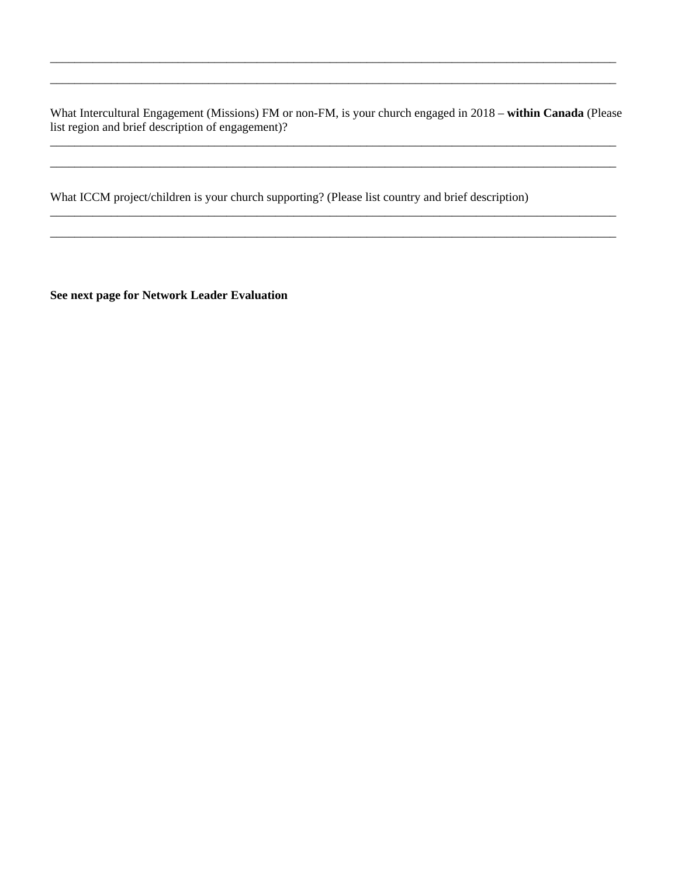What Intercultural Engagement (Missions) FM or non-FM, is your church engaged in 2018 – **within Canada** (Please list region and brief description of engagement)?

\_\_\_\_\_\_\_\_\_\_\_\_\_\_\_\_\_\_\_\_\_\_\_\_\_\_\_\_\_\_\_\_\_\_\_\_\_\_\_\_\_\_\_\_\_\_\_\_\_\_\_\_\_\_\_\_\_\_\_\_\_\_\_\_\_\_\_\_\_\_\_\_\_\_\_\_\_\_\_\_\_\_\_\_\_\_\_\_\_\_\_\_\_ \_\_\_\_\_\_\_\_\_\_\_\_\_\_\_\_\_\_\_\_\_\_\_\_\_\_\_\_\_\_\_\_\_\_\_\_\_\_\_\_\_\_\_\_\_\_\_\_\_\_\_\_\_\_\_\_\_\_\_\_\_\_\_\_\_\_\_\_\_\_\_\_\_\_\_\_\_\_\_\_\_\_\_\_\_\_\_\_\_\_\_\_\_

\_\_\_\_\_\_\_\_\_\_\_\_\_\_\_\_\_\_\_\_\_\_\_\_\_\_\_\_\_\_\_\_\_\_\_\_\_\_\_\_\_\_\_\_\_\_\_\_\_\_\_\_\_\_\_\_\_\_\_\_\_\_\_\_\_\_\_\_\_\_\_\_\_\_\_\_\_\_\_\_\_\_\_\_\_\_\_\_\_\_\_\_\_ \_\_\_\_\_\_\_\_\_\_\_\_\_\_\_\_\_\_\_\_\_\_\_\_\_\_\_\_\_\_\_\_\_\_\_\_\_\_\_\_\_\_\_\_\_\_\_\_\_\_\_\_\_\_\_\_\_\_\_\_\_\_\_\_\_\_\_\_\_\_\_\_\_\_\_\_\_\_\_\_\_\_\_\_\_\_\_\_\_\_\_\_\_

\_\_\_\_\_\_\_\_\_\_\_\_\_\_\_\_\_\_\_\_\_\_\_\_\_\_\_\_\_\_\_\_\_\_\_\_\_\_\_\_\_\_\_\_\_\_\_\_\_\_\_\_\_\_\_\_\_\_\_\_\_\_\_\_\_\_\_\_\_\_\_\_\_\_\_\_\_\_\_\_\_\_\_\_\_\_\_\_\_\_\_\_\_ \_\_\_\_\_\_\_\_\_\_\_\_\_\_\_\_\_\_\_\_\_\_\_\_\_\_\_\_\_\_\_\_\_\_\_\_\_\_\_\_\_\_\_\_\_\_\_\_\_\_\_\_\_\_\_\_\_\_\_\_\_\_\_\_\_\_\_\_\_\_\_\_\_\_\_\_\_\_\_\_\_\_\_\_\_\_\_\_\_\_\_\_\_

What ICCM project/children is your church supporting? (Please list country and brief description)

**See next page for Network Leader Evaluation**